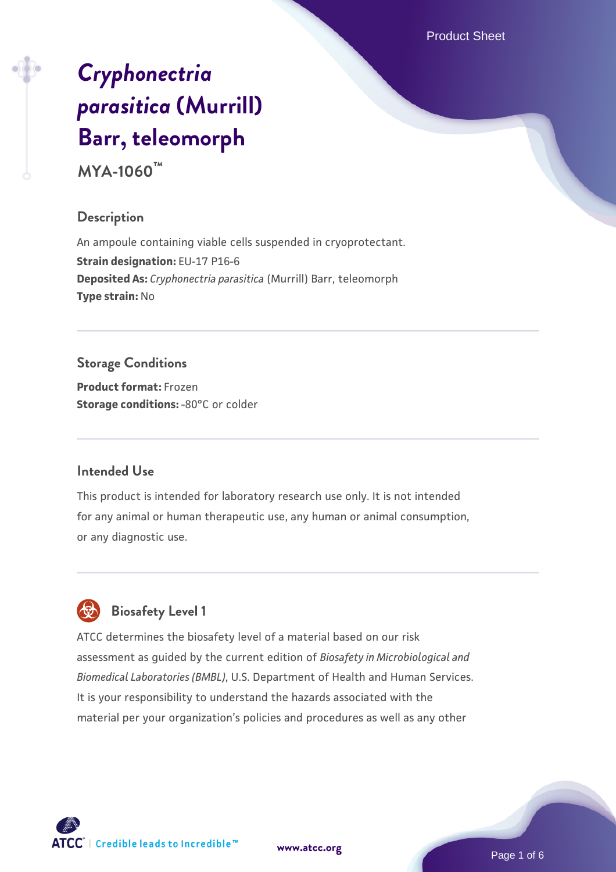Product Sheet

# *[Cryphonectria](https://www.atcc.org/products/mya-1060) [parasitica](https://www.atcc.org/products/mya-1060)* **[\(Murrill\)](https://www.atcc.org/products/mya-1060) [Barr, teleomorph](https://www.atcc.org/products/mya-1060)**

**MYA-1060™**

#### **Description**

An ampoule containing viable cells suspended in cryoprotectant. **Strain designation:** EU-17 P16-6 **Deposited As:** *Cryphonectria parasitica* (Murrill) Barr, teleomorph **Type strain:** No

# **Storage Conditions**

**Product format:** Frozen **Storage conditions: -80°C** or colder

## **Intended Use**

This product is intended for laboratory research use only. It is not intended for any animal or human therapeutic use, any human or animal consumption, or any diagnostic use.



# **Biosafety Level 1**

ATCC determines the biosafety level of a material based on our risk assessment as guided by the current edition of *Biosafety in Microbiological and Biomedical Laboratories (BMBL)*, U.S. Department of Health and Human Services. It is your responsibility to understand the hazards associated with the material per your organization's policies and procedures as well as any other

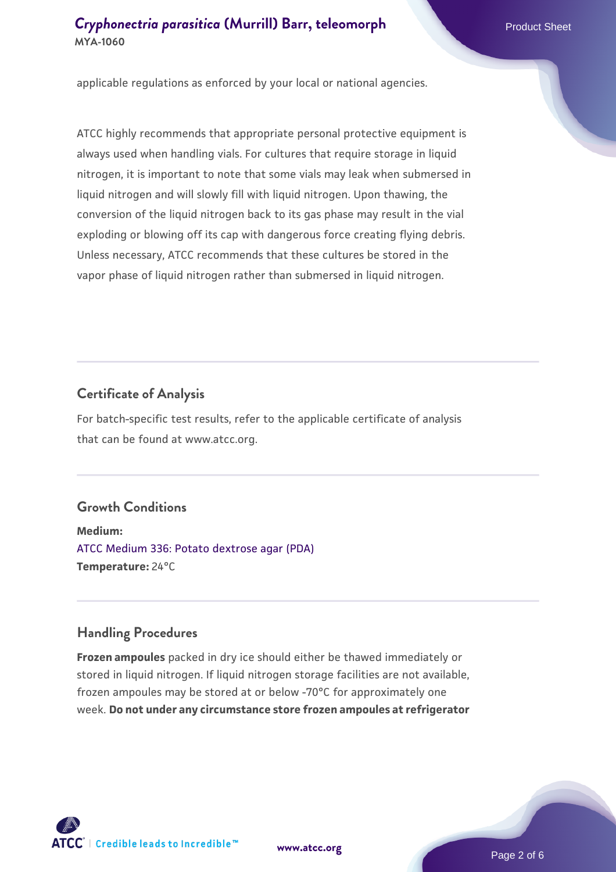applicable regulations as enforced by your local or national agencies.

ATCC highly recommends that appropriate personal protective equipment is always used when handling vials. For cultures that require storage in liquid nitrogen, it is important to note that some vials may leak when submersed in liquid nitrogen and will slowly fill with liquid nitrogen. Upon thawing, the conversion of the liquid nitrogen back to its gas phase may result in the vial exploding or blowing off its cap with dangerous force creating flying debris. Unless necessary, ATCC recommends that these cultures be stored in the vapor phase of liquid nitrogen rather than submersed in liquid nitrogen.

#### **Certificate of Analysis**

For batch-specific test results, refer to the applicable certificate of analysis that can be found at www.atcc.org.

## **Growth Conditions**

**Medium:**  [ATCC Medium 336: Potato dextrose agar \(PDA\)](https://www.atcc.org/-/media/product-assets/documents/microbial-media-formulations/3/3/6/atcc-medium-336.pdf?rev=d9160ad44d934cd8b65175461abbf3b9) **Temperature:** 24°C

#### **Handling Procedures**

**Frozen ampoules** packed in dry ice should either be thawed immediately or stored in liquid nitrogen. If liquid nitrogen storage facilities are not available, frozen ampoules may be stored at or below -70°C for approximately one week. **Do not under any circumstance store frozen ampoules at refrigerator**



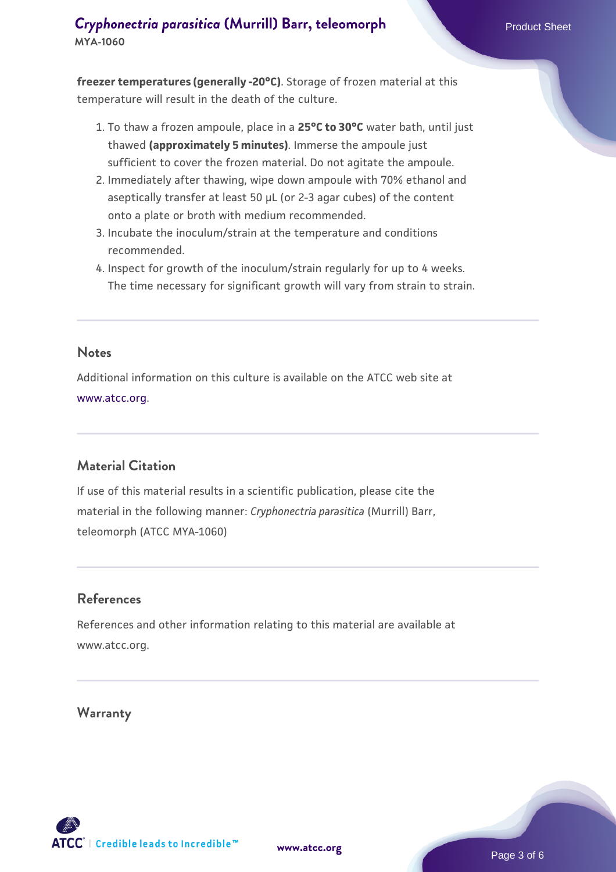**freezer temperatures (generally -20°C)**. Storage of frozen material at this temperature will result in the death of the culture.

- 1. To thaw a frozen ampoule, place in a **25°C to 30°C** water bath, until just thawed **(approximately 5 minutes)**. Immerse the ampoule just sufficient to cover the frozen material. Do not agitate the ampoule.
- 2. Immediately after thawing, wipe down ampoule with 70% ethanol and aseptically transfer at least 50 µL (or 2-3 agar cubes) of the content onto a plate or broth with medium recommended.
- 3. Incubate the inoculum/strain at the temperature and conditions recommended.
- 4. Inspect for growth of the inoculum/strain regularly for up to 4 weeks. The time necessary for significant growth will vary from strain to strain.

#### **Notes**

Additional information on this culture is available on the ATCC web site at [www.atcc.org.](http://www.atcc.org/)

## **Material Citation**

If use of this material results in a scientific publication, please cite the material in the following manner: *Cryphonectria parasitica* (Murrill) Barr, teleomorph (ATCC MYA-1060)

#### **References**

References and other information relating to this material are available at www.atcc.org.

#### **Warranty**

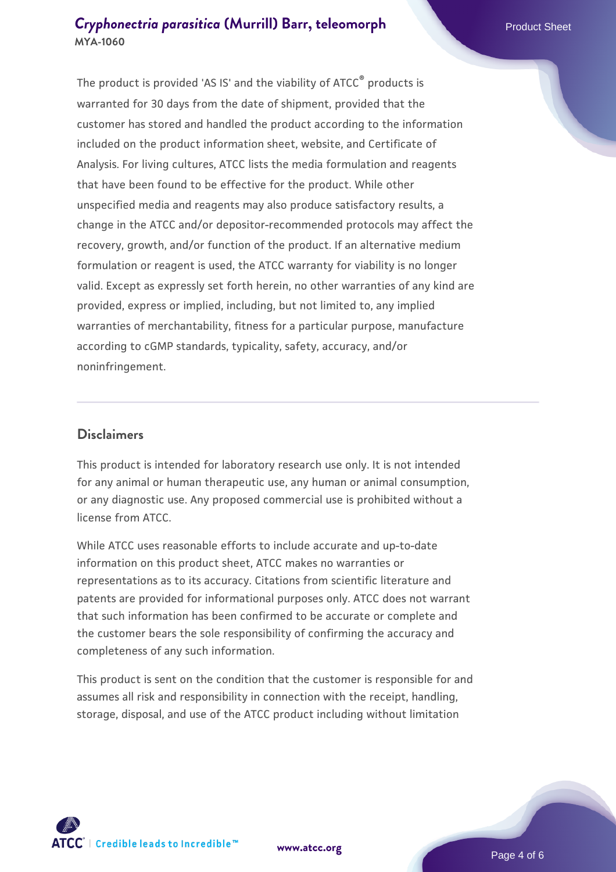The product is provided 'AS IS' and the viability of ATCC® products is warranted for 30 days from the date of shipment, provided that the customer has stored and handled the product according to the information included on the product information sheet, website, and Certificate of Analysis. For living cultures, ATCC lists the media formulation and reagents that have been found to be effective for the product. While other unspecified media and reagents may also produce satisfactory results, a change in the ATCC and/or depositor-recommended protocols may affect the recovery, growth, and/or function of the product. If an alternative medium formulation or reagent is used, the ATCC warranty for viability is no longer valid. Except as expressly set forth herein, no other warranties of any kind are provided, express or implied, including, but not limited to, any implied warranties of merchantability, fitness for a particular purpose, manufacture according to cGMP standards, typicality, safety, accuracy, and/or noninfringement.

#### **Disclaimers**

This product is intended for laboratory research use only. It is not intended for any animal or human therapeutic use, any human or animal consumption, or any diagnostic use. Any proposed commercial use is prohibited without a license from ATCC.

While ATCC uses reasonable efforts to include accurate and up-to-date information on this product sheet, ATCC makes no warranties or representations as to its accuracy. Citations from scientific literature and patents are provided for informational purposes only. ATCC does not warrant that such information has been confirmed to be accurate or complete and the customer bears the sole responsibility of confirming the accuracy and completeness of any such information.

This product is sent on the condition that the customer is responsible for and assumes all risk and responsibility in connection with the receipt, handling, storage, disposal, and use of the ATCC product including without limitation



**[www.atcc.org](http://www.atcc.org)**

Page 4 of 6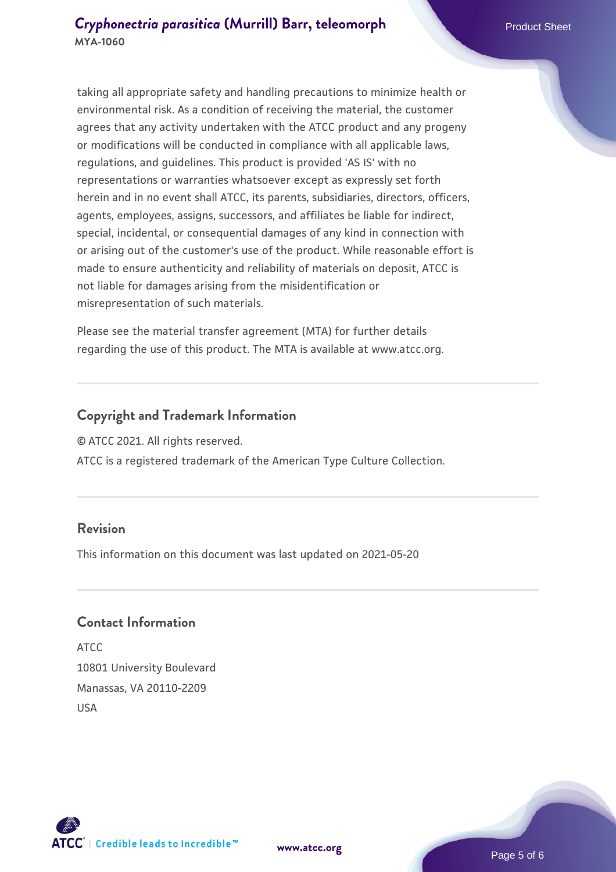taking all appropriate safety and handling precautions to minimize health or environmental risk. As a condition of receiving the material, the customer agrees that any activity undertaken with the ATCC product and any progeny or modifications will be conducted in compliance with all applicable laws, regulations, and guidelines. This product is provided 'AS IS' with no representations or warranties whatsoever except as expressly set forth herein and in no event shall ATCC, its parents, subsidiaries, directors, officers, agents, employees, assigns, successors, and affiliates be liable for indirect, special, incidental, or consequential damages of any kind in connection with or arising out of the customer's use of the product. While reasonable effort is made to ensure authenticity and reliability of materials on deposit, ATCC is not liable for damages arising from the misidentification or misrepresentation of such materials.

Please see the material transfer agreement (MTA) for further details regarding the use of this product. The MTA is available at www.atcc.org.

#### **Copyright and Trademark Information**

© ATCC 2021. All rights reserved.

ATCC is a registered trademark of the American Type Culture Collection.

#### **Revision**

This information on this document was last updated on 2021-05-20

#### **Contact Information**

ATCC 10801 University Boulevard Manassas, VA 20110-2209 USA